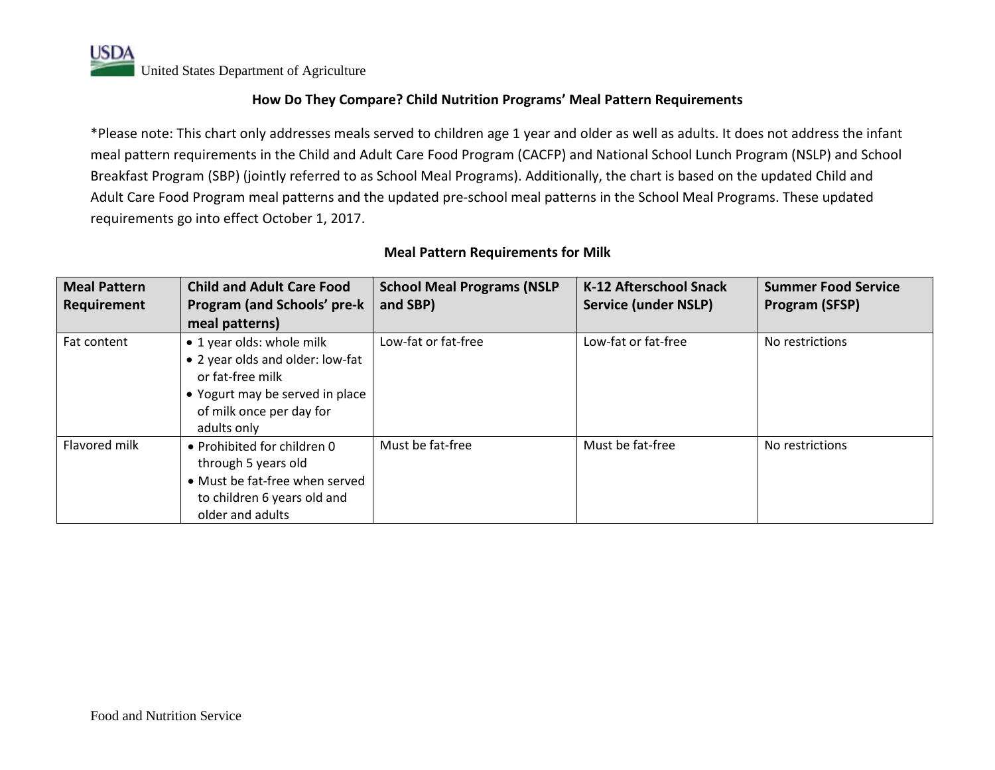**USDA** United States Department of Agriculture

#### **How Do They Compare? Child Nutrition Programs' Meal Pattern Requirements**

\*Please note: This chart only addresses meals served to children age 1 year and older as well as adults. It does not address the infant meal pattern requirements in the Child and Adult Care Food Program (CACFP) and National School Lunch Program (NSLP) and School Breakfast Program (SBP) (jointly referred to as School Meal Programs). Additionally, the chart is based on the updated Child and Adult Care Food Program meal patterns and the updated pre-school meal patterns in the School Meal Programs. These updated requirements go into effect October 1, 2017.

| <b>Meal Pattern</b><br>Requirement | <b>Child and Adult Care Food</b><br><b>Program (and Schools' pre-k</b>                                                                                          | <b>School Meal Programs (NSLP</b><br>and SBP) | <b>K-12 Afterschool Snack</b><br><b>Service (under NSLP)</b> | <b>Summer Food Service</b><br>Program (SFSP) |
|------------------------------------|-----------------------------------------------------------------------------------------------------------------------------------------------------------------|-----------------------------------------------|--------------------------------------------------------------|----------------------------------------------|
|                                    | meal patterns)                                                                                                                                                  |                                               |                                                              |                                              |
| Fat content                        | • 1 year olds: whole milk<br>• 2 year olds and older: low-fat<br>or fat-free milk<br>• Yogurt may be served in place<br>of milk once per day for<br>adults only | Low-fat or fat-free                           | Low-fat or fat-free                                          | No restrictions                              |
| Flavored milk                      | • Prohibited for children 0<br>through 5 years old<br>• Must be fat-free when served<br>to children 6 years old and<br>older and adults                         | Must be fat-free                              | Must be fat-free                                             | No restrictions                              |

#### **Meal Pattern Requirements for Milk**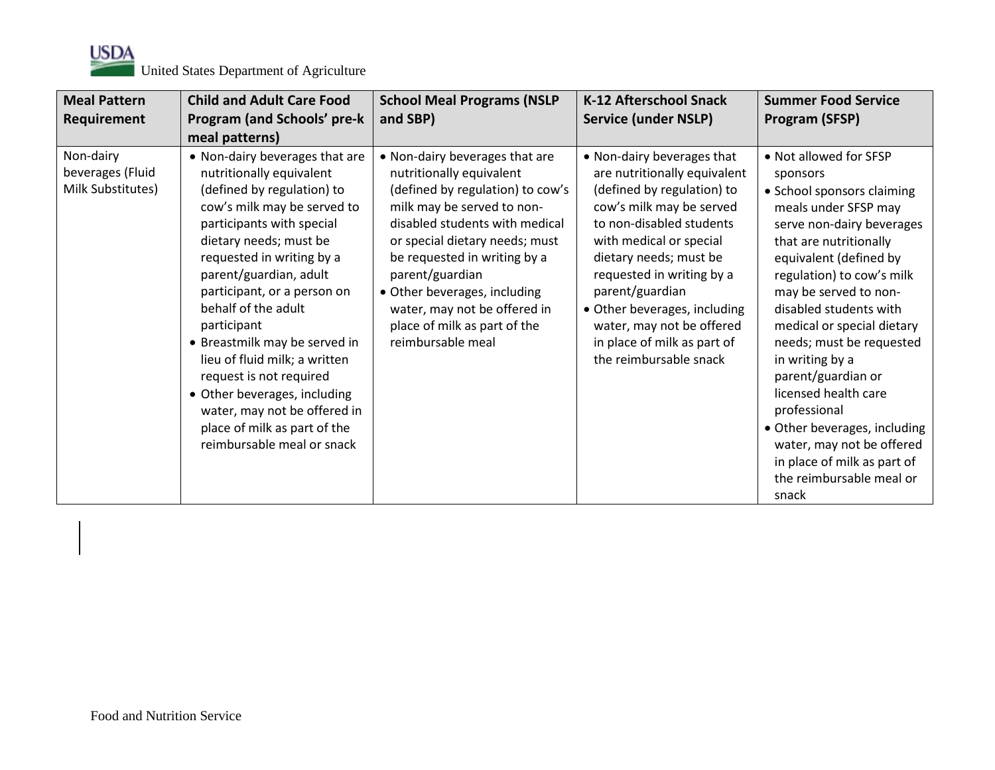

| <b>Meal Pattern</b>                                | <b>Child and Adult Care Food</b>                                                                                                                                                                                                                                                                                                                                                                                                                                                                                                      | <b>School Meal Programs (NSLP</b>                                                                                                                                                                                                                                                                                                                                        | <b>K-12 Afterschool Snack</b>                                                                                                                                                                                                                                                                                                                                               | <b>Summer Food Service</b>                                                                                                                                                                                                                                                                                                                                                                                                                                                                                                            |
|----------------------------------------------------|---------------------------------------------------------------------------------------------------------------------------------------------------------------------------------------------------------------------------------------------------------------------------------------------------------------------------------------------------------------------------------------------------------------------------------------------------------------------------------------------------------------------------------------|--------------------------------------------------------------------------------------------------------------------------------------------------------------------------------------------------------------------------------------------------------------------------------------------------------------------------------------------------------------------------|-----------------------------------------------------------------------------------------------------------------------------------------------------------------------------------------------------------------------------------------------------------------------------------------------------------------------------------------------------------------------------|---------------------------------------------------------------------------------------------------------------------------------------------------------------------------------------------------------------------------------------------------------------------------------------------------------------------------------------------------------------------------------------------------------------------------------------------------------------------------------------------------------------------------------------|
| Requirement                                        | Program (and Schools' pre-k                                                                                                                                                                                                                                                                                                                                                                                                                                                                                                           | and SBP)                                                                                                                                                                                                                                                                                                                                                                 | <b>Service (under NSLP)</b>                                                                                                                                                                                                                                                                                                                                                 | Program (SFSP)                                                                                                                                                                                                                                                                                                                                                                                                                                                                                                                        |
|                                                    | meal patterns)                                                                                                                                                                                                                                                                                                                                                                                                                                                                                                                        |                                                                                                                                                                                                                                                                                                                                                                          |                                                                                                                                                                                                                                                                                                                                                                             |                                                                                                                                                                                                                                                                                                                                                                                                                                                                                                                                       |
| Non-dairy<br>beverages (Fluid<br>Milk Substitutes) | • Non-dairy beverages that are<br>nutritionally equivalent<br>(defined by regulation) to<br>cow's milk may be served to<br>participants with special<br>dietary needs; must be<br>requested in writing by a<br>parent/guardian, adult<br>participant, or a person on<br>behalf of the adult<br>participant<br>• Breastmilk may be served in<br>lieu of fluid milk; a written<br>request is not required<br>• Other beverages, including<br>water, may not be offered in<br>place of milk as part of the<br>reimbursable meal or snack | • Non-dairy beverages that are<br>nutritionally equivalent<br>(defined by regulation) to cow's<br>milk may be served to non-<br>disabled students with medical<br>or special dietary needs; must<br>be requested in writing by a<br>parent/guardian<br>• Other beverages, including<br>water, may not be offered in<br>place of milk as part of the<br>reimbursable meal | • Non-dairy beverages that<br>are nutritionally equivalent<br>(defined by regulation) to<br>cow's milk may be served<br>to non-disabled students<br>with medical or special<br>dietary needs; must be<br>requested in writing by a<br>parent/guardian<br>• Other beverages, including<br>water, may not be offered<br>in place of milk as part of<br>the reimbursable snack | • Not allowed for SFSP<br>sponsors<br>• School sponsors claiming<br>meals under SFSP may<br>serve non-dairy beverages<br>that are nutritionally<br>equivalent (defined by<br>regulation) to cow's milk<br>may be served to non-<br>disabled students with<br>medical or special dietary<br>needs; must be requested<br>in writing by a<br>parent/guardian or<br>licensed health care<br>professional<br>• Other beverages, including<br>water, may not be offered<br>in place of milk as part of<br>the reimbursable meal or<br>snack |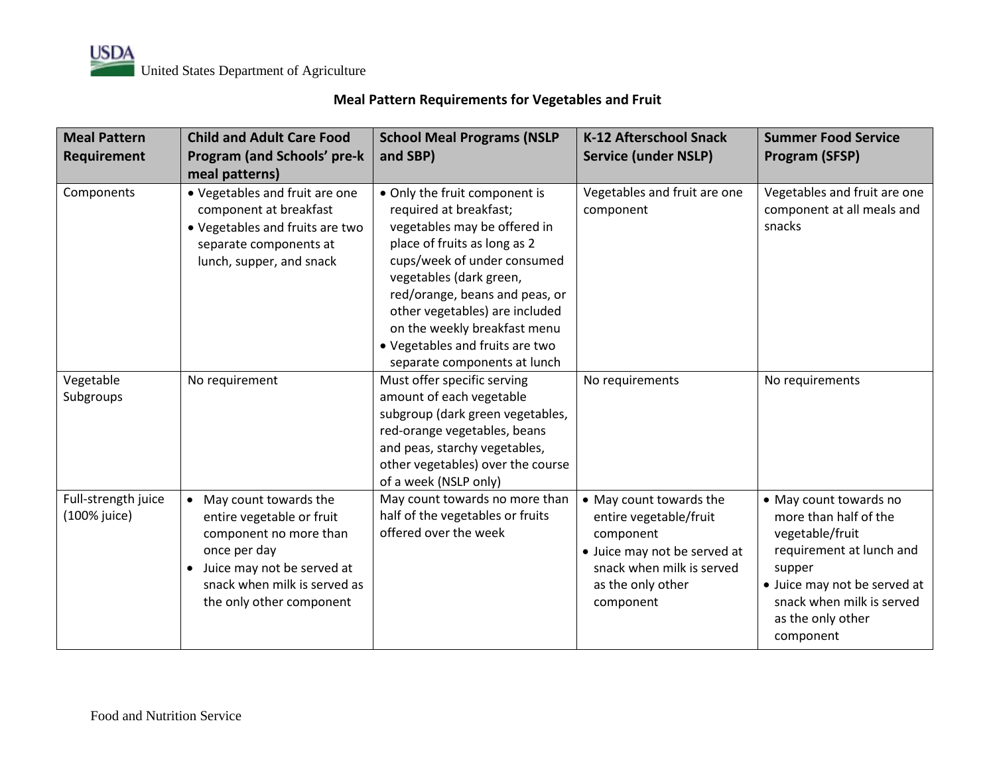## **Meal Pattern Requirements for Vegetables and Fruit**

| <b>Meal Pattern</b><br>Requirement  | <b>Child and Adult Care Food</b><br>Program (and Schools' pre-k<br>meal patterns)                                                                                                                     | <b>School Meal Programs (NSLP</b><br>and SBP)                                                                                                                                                                                                                                                                                                            | <b>K-12 Afterschool Snack</b><br><b>Service (under NSLP)</b>                                                                                                  | <b>Summer Food Service</b><br>Program (SFSP)                                                                                                                                                            |
|-------------------------------------|-------------------------------------------------------------------------------------------------------------------------------------------------------------------------------------------------------|----------------------------------------------------------------------------------------------------------------------------------------------------------------------------------------------------------------------------------------------------------------------------------------------------------------------------------------------------------|---------------------------------------------------------------------------------------------------------------------------------------------------------------|---------------------------------------------------------------------------------------------------------------------------------------------------------------------------------------------------------|
| Components                          | • Vegetables and fruit are one<br>component at breakfast<br>• Vegetables and fruits are two<br>separate components at<br>lunch, supper, and snack                                                     | • Only the fruit component is<br>required at breakfast;<br>vegetables may be offered in<br>place of fruits as long as 2<br>cups/week of under consumed<br>vegetables (dark green,<br>red/orange, beans and peas, or<br>other vegetables) are included<br>on the weekly breakfast menu<br>• Vegetables and fruits are two<br>separate components at lunch | Vegetables and fruit are one<br>component                                                                                                                     | Vegetables and fruit are one<br>component at all meals and<br>snacks                                                                                                                                    |
| Vegetable<br>Subgroups              | No requirement                                                                                                                                                                                        | Must offer specific serving<br>amount of each vegetable<br>subgroup (dark green vegetables,<br>red-orange vegetables, beans<br>and peas, starchy vegetables,<br>other vegetables) over the course<br>of a week (NSLP only)                                                                                                                               | No requirements                                                                                                                                               | No requirements                                                                                                                                                                                         |
| Full-strength juice<br>(100% juice) | • May count towards the<br>entire vegetable or fruit<br>component no more than<br>once per day<br>Juice may not be served at<br>$\bullet$<br>snack when milk is served as<br>the only other component | May count towards no more than<br>half of the vegetables or fruits<br>offered over the week                                                                                                                                                                                                                                                              | • May count towards the<br>entire vegetable/fruit<br>component<br>• Juice may not be served at<br>snack when milk is served<br>as the only other<br>component | • May count towards no<br>more than half of the<br>vegetable/fruit<br>requirement at lunch and<br>supper<br>• Juice may not be served at<br>snack when milk is served<br>as the only other<br>component |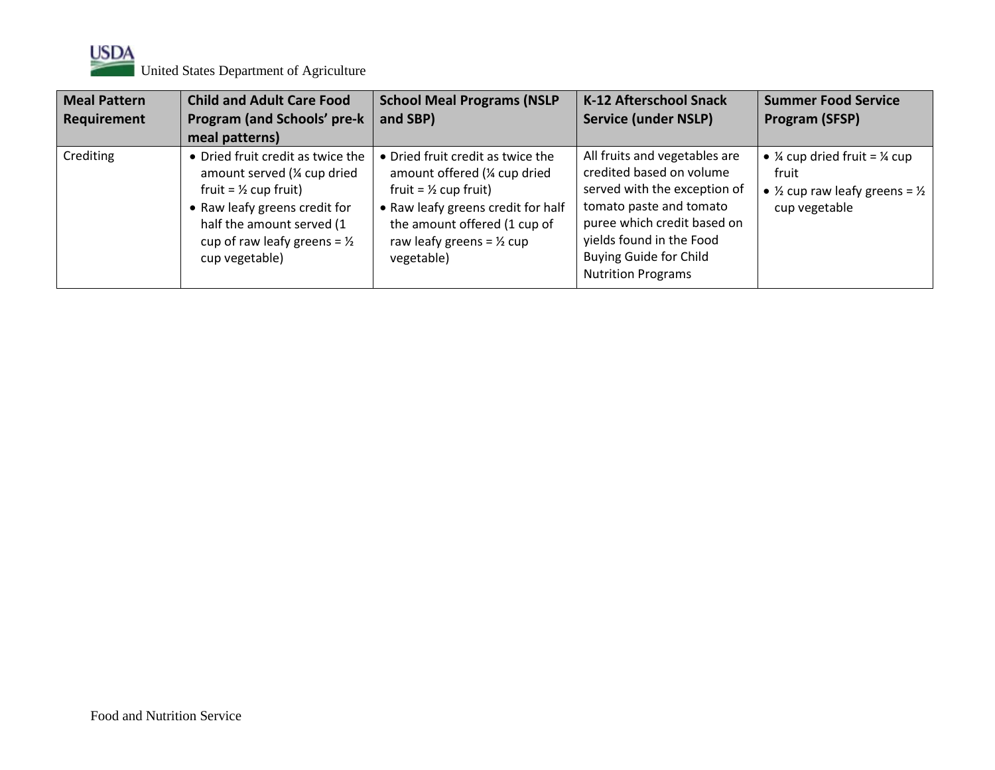

| <b>Meal Pattern</b><br>Requirement | <b>Child and Adult Care Food</b><br><b>Program (and Schools' pre-k</b><br>meal patterns)                                                                                                                                         | <b>School Meal Programs (NSLP</b><br>and SBP)                                                                                                                                                                                      | <b>K-12 Afterschool Snack</b><br><b>Service (under NSLP)</b>                                                                                                                                                                                  | <b>Summer Food Service</b><br>Program (SFSP)                                                                                          |
|------------------------------------|----------------------------------------------------------------------------------------------------------------------------------------------------------------------------------------------------------------------------------|------------------------------------------------------------------------------------------------------------------------------------------------------------------------------------------------------------------------------------|-----------------------------------------------------------------------------------------------------------------------------------------------------------------------------------------------------------------------------------------------|---------------------------------------------------------------------------------------------------------------------------------------|
| Crediting                          | • Dried fruit credit as twice the<br>amount served (1/4 cup dried<br>fruit = $\frac{1}{2}$ cup fruit)<br>• Raw leafy greens credit for<br>half the amount served (1<br>cup of raw leafy greens = $\frac{1}{2}$<br>cup vegetable) | • Dried fruit credit as twice the<br>amount offered (1/4 cup dried<br>fruit = $\frac{1}{2}$ cup fruit)<br>• Raw leafy greens credit for half<br>the amount offered (1 cup of<br>raw leafy greens = $\frac{1}{2}$ cup<br>vegetable) | All fruits and vegetables are<br>credited based on volume<br>served with the exception of<br>tomato paste and tomato<br>puree which credit based on<br>yields found in the Food<br><b>Buying Guide for Child</b><br><b>Nutrition Programs</b> | • $\frac{1}{4}$ cup dried fruit = $\frac{1}{4}$ cup<br>fruit<br>• $\frac{1}{2}$ cup raw leafy greens = $\frac{1}{2}$<br>cup vegetable |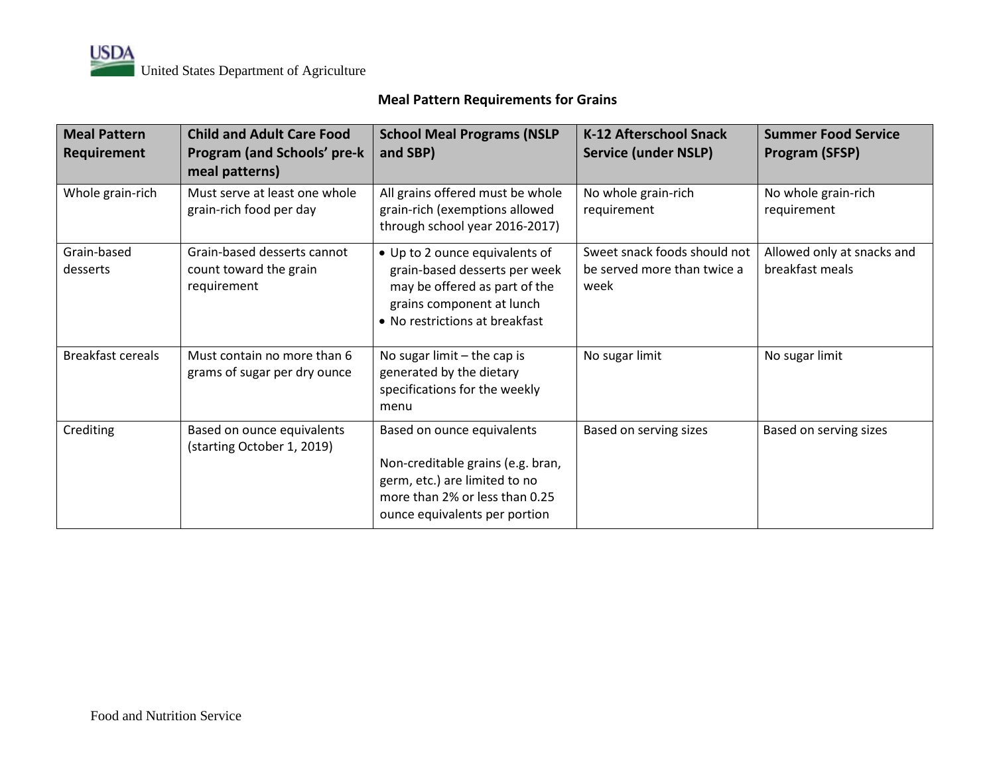### **Meal Pattern Requirements for Grains**

| <b>Meal Pattern</b><br>Requirement | <b>Child and Adult Care Food</b><br><b>Program (and Schools' pre-k</b><br>meal patterns) | <b>School Meal Programs (NSLP</b><br>and SBP)                                                                                                                       | <b>K-12 Afterschool Snack</b><br><b>Service (under NSLP)</b>        | <b>Summer Food Service</b><br>Program (SFSP)  |
|------------------------------------|------------------------------------------------------------------------------------------|---------------------------------------------------------------------------------------------------------------------------------------------------------------------|---------------------------------------------------------------------|-----------------------------------------------|
| Whole grain-rich                   | Must serve at least one whole<br>grain-rich food per day                                 | All grains offered must be whole<br>grain-rich (exemptions allowed<br>through school year 2016-2017)                                                                | No whole grain-rich<br>requirement                                  | No whole grain-rich<br>requirement            |
| Grain-based<br>desserts            | Grain-based desserts cannot<br>count toward the grain<br>requirement                     | • Up to 2 ounce equivalents of<br>grain-based desserts per week<br>may be offered as part of the<br>grains component at lunch<br>• No restrictions at breakfast     | Sweet snack foods should not<br>be served more than twice a<br>week | Allowed only at snacks and<br>breakfast meals |
| <b>Breakfast cereals</b>           | Must contain no more than 6<br>grams of sugar per dry ounce                              | No sugar limit $-$ the cap is<br>generated by the dietary<br>specifications for the weekly<br>menu                                                                  | No sugar limit                                                      | No sugar limit                                |
| Crediting                          | Based on ounce equivalents<br>(starting October 1, 2019)                                 | Based on ounce equivalents<br>Non-creditable grains (e.g. bran,<br>germ, etc.) are limited to no<br>more than 2% or less than 0.25<br>ounce equivalents per portion | Based on serving sizes                                              | Based on serving sizes                        |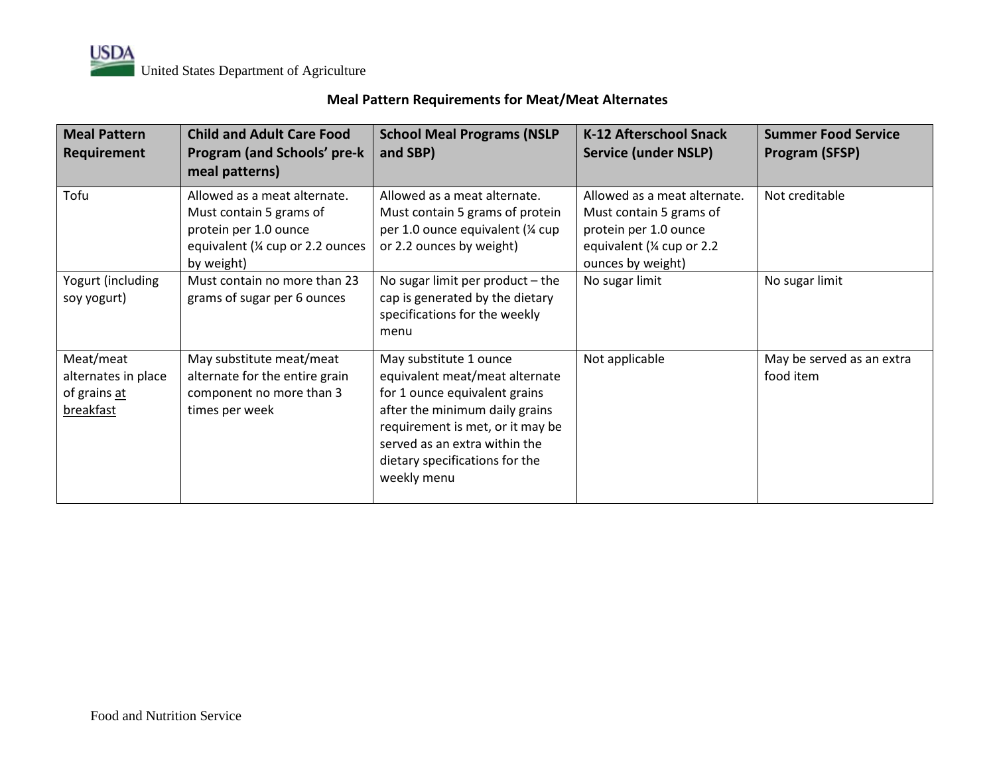### **Meal Pattern Requirements for Meat/Meat Alternates**

| <b>Meal Pattern</b><br>Requirement                            | <b>Child and Adult Care Food</b><br>Program (and Schools' pre-k<br>meal patterns)                                                   | <b>School Meal Programs (NSLP</b><br>and SBP)                                                                                                                                                                                                     | K-12 Afterschool Snack<br><b>Service (under NSLP)</b>                                                                               | <b>Summer Food Service</b><br><b>Program (SFSP)</b> |
|---------------------------------------------------------------|-------------------------------------------------------------------------------------------------------------------------------------|---------------------------------------------------------------------------------------------------------------------------------------------------------------------------------------------------------------------------------------------------|-------------------------------------------------------------------------------------------------------------------------------------|-----------------------------------------------------|
| Tofu                                                          | Allowed as a meat alternate.<br>Must contain 5 grams of<br>protein per 1.0 ounce<br>equivalent (1/4 cup or 2.2 ounces<br>by weight) | Allowed as a meat alternate.<br>Must contain 5 grams of protein<br>per 1.0 ounce equivalent (1/4 cup<br>or 2.2 ounces by weight)                                                                                                                  | Allowed as a meat alternate.<br>Must contain 5 grams of<br>protein per 1.0 ounce<br>equivalent (1/4 cup or 2.2<br>ounces by weight) | Not creditable                                      |
| Yogurt (including<br>soy yogurt)                              | Must contain no more than 23<br>grams of sugar per 6 ounces                                                                         | No sugar limit per product $-$ the<br>cap is generated by the dietary<br>specifications for the weekly<br>menu                                                                                                                                    | No sugar limit                                                                                                                      | No sugar limit                                      |
| Meat/meat<br>alternates in place<br>of grains at<br>breakfast | May substitute meat/meat<br>alternate for the entire grain<br>component no more than 3<br>times per week                            | May substitute 1 ounce<br>equivalent meat/meat alternate<br>for 1 ounce equivalent grains<br>after the minimum daily grains<br>requirement is met, or it may be<br>served as an extra within the<br>dietary specifications for the<br>weekly menu | Not applicable                                                                                                                      | May be served as an extra<br>food item              |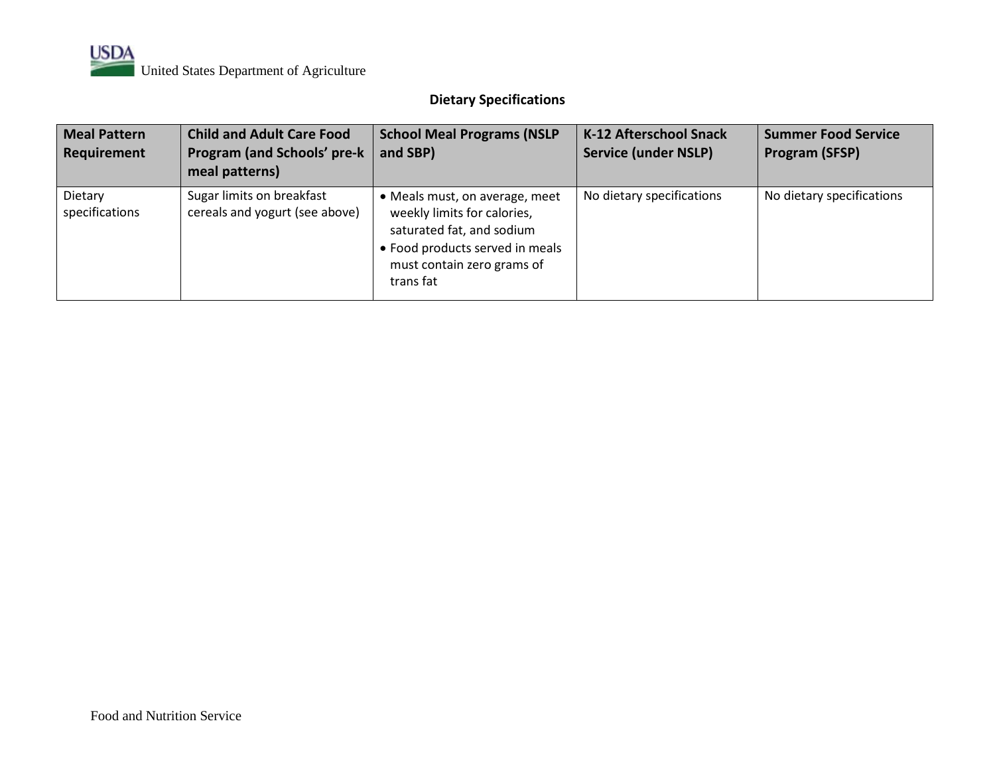# **Dietary Specifications**

| <b>Meal Pattern</b><br>Requirement | <b>Child and Adult Care Food</b><br><b>Program (and Schools' pre-k</b><br>meal patterns) | <b>School Meal Programs (NSLP</b><br>and SBP)                                                                                                                          | K-12 Afterschool Snack<br><b>Service (under NSLP)</b> | <b>Summer Food Service</b><br>Program (SFSP) |
|------------------------------------|------------------------------------------------------------------------------------------|------------------------------------------------------------------------------------------------------------------------------------------------------------------------|-------------------------------------------------------|----------------------------------------------|
| Dietary<br>specifications          | Sugar limits on breakfast<br>cereals and yogurt (see above)                              | Meals must, on average, meet<br>weekly limits for calories,<br>saturated fat, and sodium<br>• Food products served in meals<br>must contain zero grams of<br>trans fat | No dietary specifications                             | No dietary specifications                    |